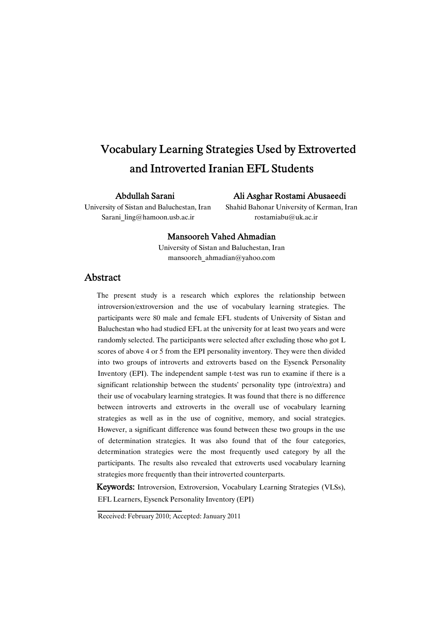# Vocabulary Learning Strategies Used by Extroverted and Introverted Iranian EFL Students

### Abdullah Sarani

### Ali Asghar Rostami Abusaeedi

Sarani  $\text{ling@hamoon.usb.ac.it}$  rostamiabu@uk.ac.ir

University of Sistan and Baluchestan, Iran Shahid Bahonar University of Kerman, Iran

### Mansooreh Vahed Ahmadian

University of Sistan and Baluchestan, Iran mansooreh\_ahmadian@yahoo.com

### Abstract

The present study is a research which explores the relationship between introversion/extroversion and the use of vocabulary learning strategies. The participants were 80 male and female EFL students of University of Sistan and Baluchestan who had studied EFL at the university for at least two years and were randomly selected. The participants were selected after excluding those who got L scores of above 4 or 5 from the EPI personality inventory. They were then divided into two groups of introverts and extroverts based on the Eysenck Personality Inventory (EPI). The independent sample t-test was run to examine if there is a significant relationship between the students' personality type (intro/extra) and their use of vocabulary learning strategies. It was found that there is no difference between introverts and extroverts in the overall use of vocabulary learning strategies as well as in the use of cognitive, memory, and social strategies. However, a significant difference was found between these two groups in the use of determination strategies. It was also found that of the four categories, determination strategies were the most frequently used category by all the participants. The results also revealed that extroverts used vocabulary learning strategies more frequently than their introverted counterparts.

Keywords: Introversion, Extroversion, Vocabulary Learning Strategies (VLSs), EFL Learners, Eysenck Personality Inventory (EPI)

Received: February 2010; Accepted: January 2011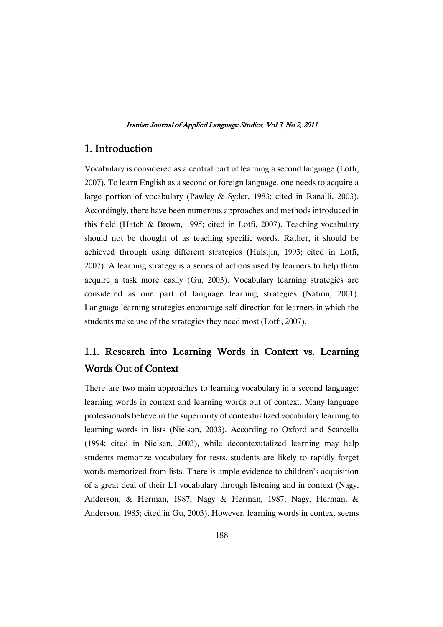## 1. Introduction

Vocabulary is considered as a central part of learning a second language (Lotfi, 2007). To learn English as a second or foreign language, one needs to acquire a large portion of vocabulary (Pawley & Syder, 1983; cited in Ranalli, 2003). Accordingly, there have been numerous approaches and methods introduced in this field (Hatch & Brown, 1995; cited in Lotfi, 2007). Teaching vocabulary should not be thought of as teaching specific words. Rather, it should be achieved through using different strategies (Hulstjin, 1993; cited in Lotfi, 2007). A learning strategy is a series of actions used by learners to help them acquire a task more easily (Gu, 2003). Vocabulary learning strategies are considered as one part of language learning strategies (Nation, 2001). Language learning strategies encourage self-direction for learners in which the students make use of the strategies they need most (Lotfi, 2007).

# 1.1. Research into Learning Words in Context vs. Learning Words Out of Context

There are two main approaches to learning vocabulary in a second language: learning words in context and learning words out of context. Many language professionals believe in the superiority of contextualized vocabulary learning to learning words in lists (Nielson, 2003). According to Oxford and Scarcella (1994; cited in Nielsen, 2003), while decontexutalized learning may help students memorize vocabulary for tests, students are likely to rapidly forget words memorized from lists. There is ample evidence to children's acquisition of a great deal of their L1 vocabulary through listening and in context (Nagy, Anderson, & Herman, 1987; Nagy & Herman, 1987; Nagy, Herman, & Anderson, 1985; cited in Gu, 2003). However, learning words in context seems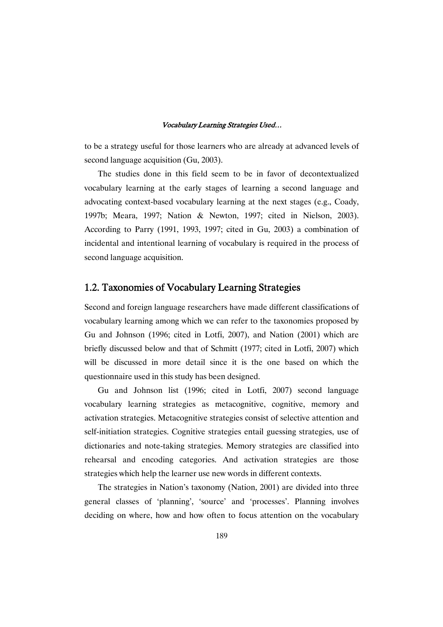to be a strategy useful for those learners who are already at advanced levels of second language acquisition (Gu, 2003).

The studies done in this field seem to be in favor of decontextualized vocabulary learning at the early stages of learning a second language and advocating context-based vocabulary learning at the next stages (e.g., Coady, 1997b; Meara, 1997; Nation & Newton, 1997; cited in Nielson, 2003). According to Parry (1991, 1993, 1997; cited in Gu, 2003) a combination of incidental and intentional learning of vocabulary is required in the process of second language acquisition.

### 1.2. Taxonomies of Vocabulary Learning Strategies

Second and foreign language researchers have made different classifications of vocabulary learning among which we can refer to the taxonomies proposed by Gu and Johnson (1996; cited in Lotfi, 2007), and Nation (2001) which are briefly discussed below and that of Schmitt (1977; cited in Lotfi, 2007) which will be discussed in more detail since it is the one based on which the questionnaire used in this study has been designed.

Gu and Johnson list (1996; cited in Lotfi, 2007) second language vocabulary learning strategies as metacognitive, cognitive, memory and activation strategies. Metacognitive strategies consist of selective attention and self-initiation strategies. Cognitive strategies entail guessing strategies, use of dictionaries and note-taking strategies. Memory strategies are classified into rehearsal and encoding categories. And activation strategies are those strategies which help the learner use new words in different contexts.

The strategies in Nation's taxonomy (Nation, 2001) are divided into three general classes of 'planning', 'source' and 'processes'. Planning involves deciding on where, how and how often to focus attention on the vocabulary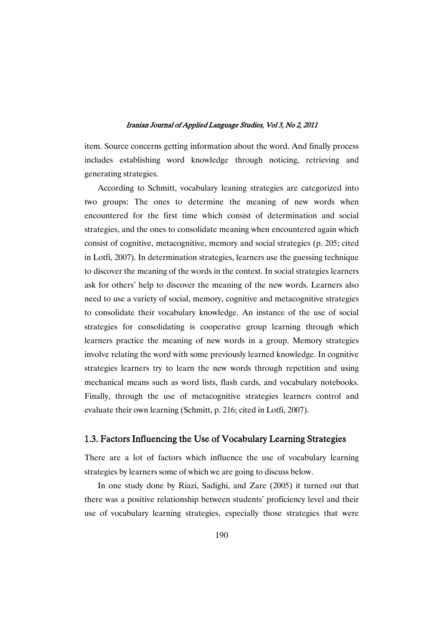item. Source concerns getting information about the word. And finally process includes establishing word knowledge through noticing, retrieving and generating strategies.

According to Schmitt, vocabulary leaning strategies are categorized into two groups: The ones to determine the meaning of new words when encountered for the first time which consist of determination and social strategies, and the ones to consolidate meaning when encountered again which consist of cognitive, metacognitive, memory and social strategies (p. 205; cited in Lotfi, 2007). In determination strategies, learners use the guessing technique to discover the meaning of the words in the context. In social strategies learners ask for others' help to discover the meaning of the new words. Learners also need to use a variety of social, memory, cognitive and metacognitive strategies to consolidate their vocabulary knowledge. An instance of the use of social strategies for consolidating is cooperative group learning through which learners practice the meaning of new words in a group. Memory strategies involve relating the word with some previously learned knowledge. In cognitive strategies learners try to learn the new words through repetition and using mechanical means such as word lists, flash cards, and vocabulary notebooks. Finally, through the use of metacognitive strategies learners control and evaluate their own learning (Schmitt, p. 216; cited in Lotfi, 2007).

### 1.3. Factors Influencing the Use of Vocabulary Learning Strategies

There are a lot of factors which influence the use of vocabulary learning strategies by learners some of which we are going to discuss below.

In one study done by Riazi, Sadighi, and Zare (2005) it turned out that there was a positive relationship between students' proficiency level and their use of vocabulary learning strategies, especially those strategies that were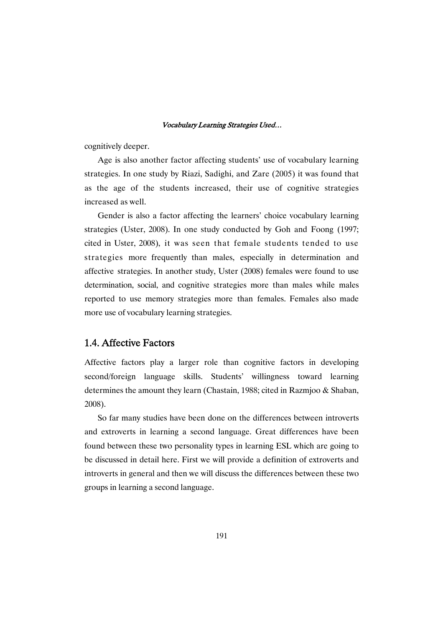cognitively deeper.

Age is also another factor affecting students' use of vocabulary learning strategies. In one study by Riazi, Sadighi, and Zare (2005) it was found that as the age of the students increased, their use of cognitive strategies increased as well.

Gender is also a factor affecting the learners' choice vocabulary learning strategies (Uster, 2008). In one study conducted by Goh and Foong (1997; cited in Uster, 2008), it was seen that female students tended to use strategies more frequently than males, especially in determination and affective strategies. In another study, Uster (2008) females were found to use determination, social, and cognitive strategies more than males while males reported to use memory strategies more than females. Females also made more use of vocabulary learning strategies.

### 1.4. Affective Factors

Affective factors play a larger role than cognitive factors in developing second/foreign language skills. Students' willingness toward learning determines the amount they learn (Chastain, 1988; cited in Razmjoo & Shaban, 2008).

So far many studies have been done on the differences between introverts and extroverts in learning a second language. Great differences have been found between these two personality types in learning ESL which are going to be discussed in detail here. First we will provide a definition of extroverts and introverts in general and then we will discuss the differences between these two groups in learning a second language.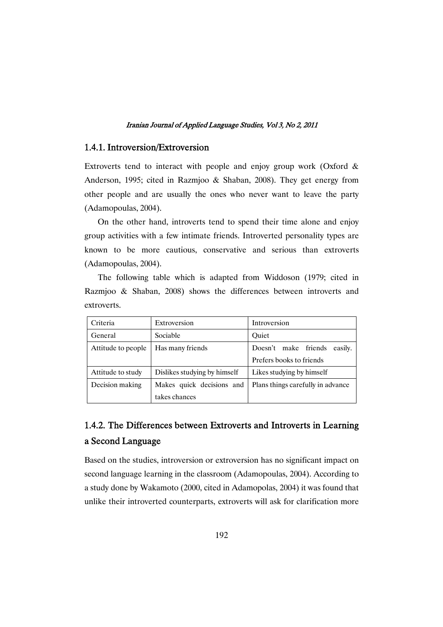### 1.4.1. Introversion/Extroversion

Extroverts tend to interact with people and enjoy group work (Oxford & Anderson, 1995; cited in Razmjoo & Shaban, 2008). They get energy from other people and are usually the ones who never want to leave the party (Adamopoulas, 2004).

On the other hand, introverts tend to spend their time alone and enjoy group activities with a few intimate friends. Introverted personality types are known to be more cautious, conservative and serious than extroverts (Adamopoulas, 2004).

The following table which is adapted from Widdoson (1979; cited in Razmjoo & Shaban, 2008) shows the differences between introverts and extroverts.

| Criteria           | Extroversion                 | Introversion                      |  |  |  |
|--------------------|------------------------------|-----------------------------------|--|--|--|
| General            | Sociable                     | Ouiet                             |  |  |  |
| Attitude to people | Has many friends             | Doesn't make friends<br>easily.   |  |  |  |
|                    |                              | Prefers books to friends          |  |  |  |
| Attitude to study  | Dislikes studying by himself | Likes studying by himself         |  |  |  |
| Decision making    | Makes quick decisions and    | Plans things carefully in advance |  |  |  |
|                    | takes chances                |                                   |  |  |  |

## 1.4.2. The Differences between Extroverts and Introverts in Learning a Second Language

Based on the studies, introversion or extroversion has no significant impact on second language learning in the classroom (Adamopoulas, 2004). According to a study done by Wakamoto (2000, cited in Adamopolas, 2004) it was found that unlike their introverted counterparts, extroverts will ask for clarification more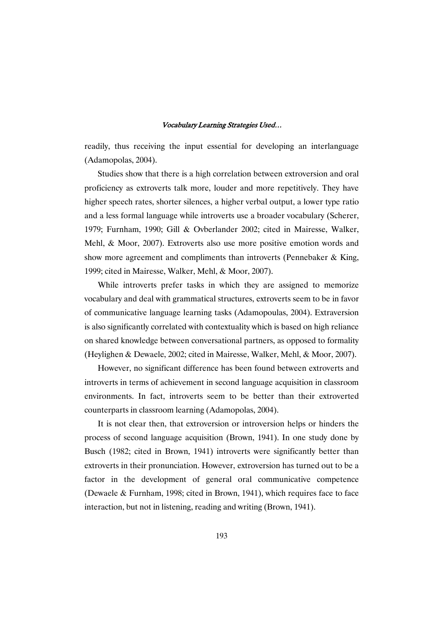readily, thus receiving the input essential for developing an interlanguage (Adamopolas, 2004).

Studies show that there is a high correlation between extroversion and oral proficiency as extroverts talk more, louder and more repetitively. They have higher speech rates, shorter silences, a higher verbal output, a lower type ratio and a less formal language while introverts use a broader vocabulary (Scherer, 1979; Furnham, 1990; Gill & Ovberlander 2002; cited in Mairesse, Walker, Mehl, & Moor, 2007). Extroverts also use more positive emotion words and show more agreement and compliments than introverts (Pennebaker & King, 1999; cited in Mairesse, Walker, Mehl, & Moor, 2007).

While introverts prefer tasks in which they are assigned to memorize vocabulary and deal with grammatical structures, extroverts seem to be in favor of communicative language learning tasks (Adamopoulas, 2004). Extraversion is also significantly correlated with contextuality which is based on high reliance on shared knowledge between conversational partners, as opposed to formality (Heylighen & Dewaele, 2002; cited in Mairesse, Walker, Mehl, & Moor, 2007).

However, no significant difference has been found between extroverts and introverts in terms of achievement in second language acquisition in classroom environments. In fact, introverts seem to be better than their extroverted counterparts in classroom learning (Adamopolas, 2004).

It is not clear then, that extroversion or introversion helps or hinders the process of second language acquisition (Brown, 1941). In one study done by Busch (1982; cited in Brown, 1941) introverts were significantly better than extroverts in their pronunciation. However, extroversion has turned out to be a factor in the development of general oral communicative competence (Dewaele & Furnham, 1998; cited in Brown, 1941), which requires face to face interaction, but not in listening, reading and writing (Brown, 1941).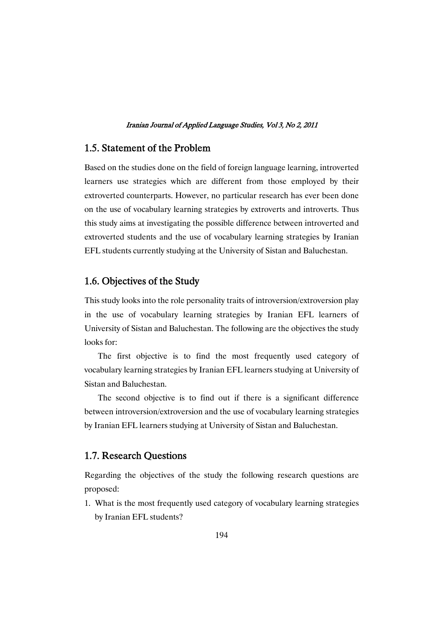### 1.5. Statement of the Problem

Based on the studies done on the field of foreign language learning, introverted learners use strategies which are different from those employed by their extroverted counterparts. However, no particular research has ever been done on the use of vocabulary learning strategies by extroverts and introverts. Thus this study aims at investigating the possible difference between introverted and extroverted students and the use of vocabulary learning strategies by Iranian EFL students currently studying at the University of Sistan and Baluchestan.

### 1.6. Objectives of the Study

This study looks into the role personality traits of introversion/extroversion play in the use of vocabulary learning strategies by Iranian EFL learners of University of Sistan and Baluchestan. The following are the objectives the study looks for:

The first objective is to find the most frequently used category of vocabulary learning strategies by Iranian EFL learners studying at University of Sistan and Baluchestan.

The second objective is to find out if there is a significant difference between introversion/extroversion and the use of vocabulary learning strategies by Iranian EFL learners studying at University of Sistan and Baluchestan.

### 1.7. Research Questions

Regarding the objectives of the study the following research questions are proposed:

1. What is the most frequently used category of vocabulary learning strategies by Iranian EFL students?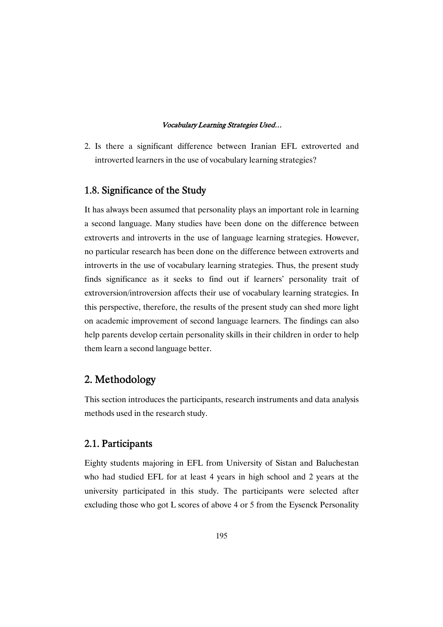2. Is there a significant difference between Iranian EFL extroverted and introverted learners in the use of vocabulary learning strategies?

### 1.8. Significance of the Study

It has always been assumed that personality plays an important role in learning a second language. Many studies have been done on the difference between extroverts and introverts in the use of language learning strategies. However, no particular research has been done on the difference between extroverts and introverts in the use of vocabulary learning strategies. Thus, the present study finds significance as it seeks to find out if learners' personality trait of extroversion/introversion affects their use of vocabulary learning strategies. In this perspective, therefore, the results of the present study can shed more light on academic improvement of second language learners. The findings can also help parents develop certain personality skills in their children in order to help them learn a second language better.

## 2. Methodology

This section introduces the participants, research instruments and data analysis methods used in the research study.

### 2.1. Participants

Eighty students majoring in EFL from University of Sistan and Baluchestan who had studied EFL for at least 4 years in high school and 2 years at the university participated in this study. The participants were selected after excluding those who got L scores of above 4 or 5 from the Eysenck Personality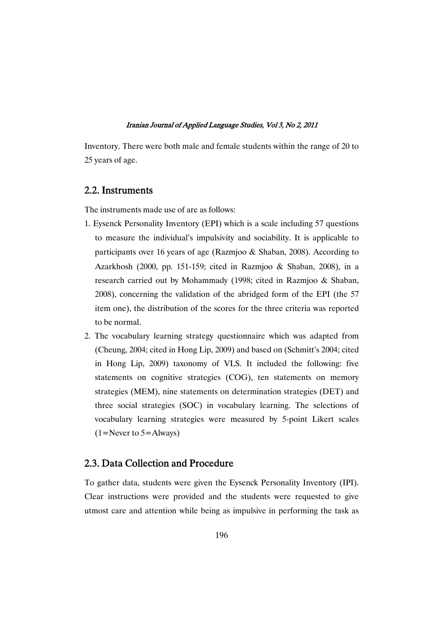Inventory. There were both male and female students within the range of 20 to 25 years of age.

### 2.2. Instruments

The instruments made use of are as follows:

- 1. Eysenck Personality Inventory (EPI) which is a scale including 57 questions to measure the individual's impulsivity and sociability. It is applicable to participants over 16 years of age (Razmjoo & Shaban, 2008). According to Azarkhosh (2000, pp. 151-159; cited in Razmjoo & Shaban, 2008), in a research carried out by Mohammady (1998; cited in Razmjoo & Shaban, 2008), concerning the validation of the abridged form of the EPI (the 57 item one), the distribution of the scores for the three criteria was reported to be normal.
- 2. The vocabulary learning strategy questionnaire which was adapted from (Cheung, 2004; cited in Hong Lip, 2009) and based on (Schmitt's 2004; cited in Hong Lip, 2009) taxonomy of VLS. It included the following: five statements on cognitive strategies (COG), ten statements on memory strategies (MEM), nine statements on determination strategies (DET) and three social strategies (SOC) in vocabulary learning. The selections of vocabulary learning strategies were measured by 5-point Likert scales  $(1=N$ ever to  $5=$ Always)

### 2.3. Data Collection and Procedure

To gather data, students were given the Eysenck Personality Inventory (IPI). Clear instructions were provided and the students were requested to give utmost care and attention while being as impulsive in performing the task as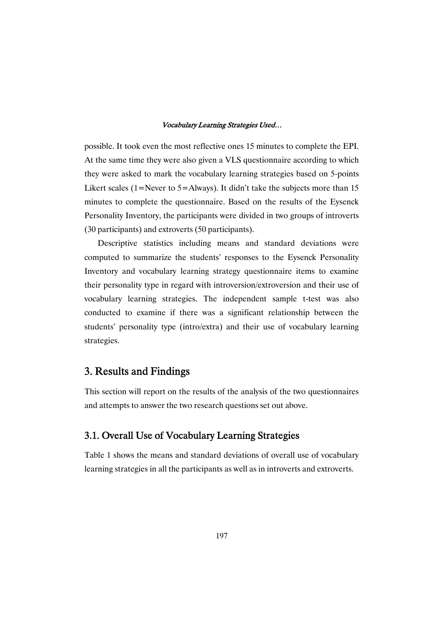possible. It took even the most reflective ones 15 minutes to complete the EPI. At the same time they were also given a VLS questionnaire according to which they were asked to mark the vocabulary learning strategies based on 5-points Likert scales (1=Never to 5=Always). It didn't take the subjects more than 15 minutes to complete the questionnaire. Based on the results of the Eysenck Personality Inventory, the participants were divided in two groups of introverts (30 participants) and extroverts (50 participants).

Descriptive statistics including means and standard deviations were computed to summarize the students' responses to the Eysenck Personality Inventory and vocabulary learning strategy questionnaire items to examine their personality type in regard with introversion/extroversion and their use of vocabulary learning strategies. The independent sample t-test was also conducted to examine if there was a significant relationship between the students' personality type (intro/extra) and their use of vocabulary learning strategies.

## 3. Results and Findings

This section will report on the results of the analysis of the two questionnaires and attempts to answer the two research questions set out above.

### 3.1. Overall Use of Vocabulary Learning Strategies

Table 1 shows the means and standard deviations of overall use of vocabulary learning strategies in all the participants as well as in introverts and extroverts.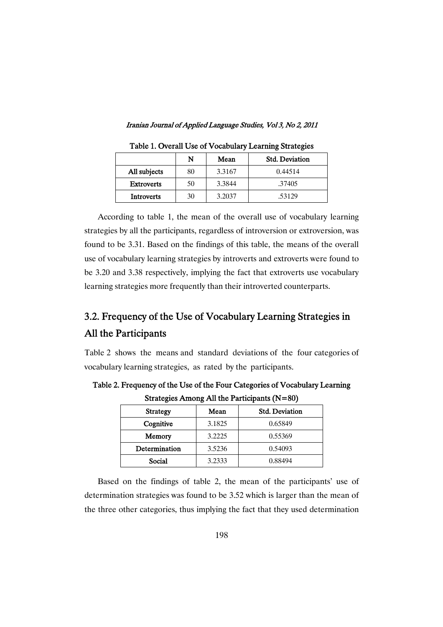|                   | N  | Mean   | <b>Std. Deviation</b> |
|-------------------|----|--------|-----------------------|
| All subjects      | 80 | 3.3167 | 0.44514               |
| <b>Extroverts</b> | 50 | 3.3844 | .37405                |
| Introverts        | 30 | 3.2037 | .53129                |

Table 1. Overall Use of Vocabulary Learning Strategies

According to table 1, the mean of the overall use of vocabulary learning strategies by all the participants, regardless of introversion or extroversion, was found to be 3.31. Based on the findings of this table, the means of the overall use of vocabulary learning strategies by introverts and extroverts were found to be 3.20 and 3.38 respectively, implying the fact that extroverts use vocabulary learning strategies more frequently than their introverted counterparts.

# 3.2. Frequency of the Use of Vocabulary Learning Strategies in All the Participants

Table 2 shows the means and standard deviations of the four categories of vocabulary learning strategies, as rated by the participants.

| <b>Strategy</b> | Mean   | <b>Std. Deviation</b> |  |  |  |  |
|-----------------|--------|-----------------------|--|--|--|--|
| Cognitive       | 3.1825 | 0.65849               |  |  |  |  |
| Memory          | 3.2225 | 0.55369               |  |  |  |  |
| Determination   | 3.5236 | 0.54093               |  |  |  |  |
| Social          | 3.2333 | 0.88494               |  |  |  |  |

Table 2. Frequency of the Use of the Four Categories of Vocabulary Learning Strategies Among All the Participants (N=80)

Based on the findings of table 2, the mean of the participants' use of determination strategies was found to be 3.52 which is larger than the mean of the three other categories, thus implying the fact that they used determination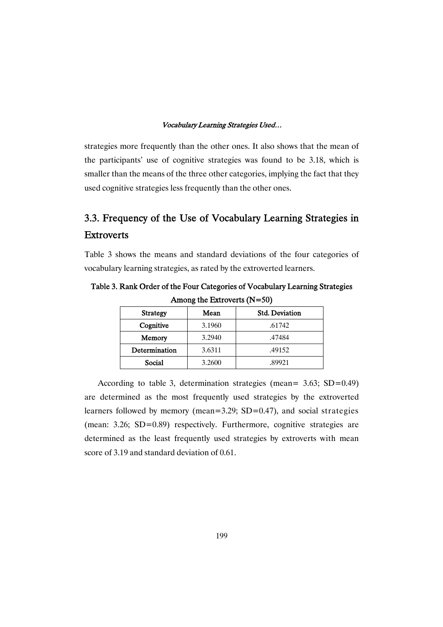strategies more frequently than the other ones. It also shows that the mean of the participants' use of cognitive strategies was found to be 3.18, which is smaller than the means of the three other categories, implying the fact that they used cognitive strategies less frequently than the other ones.

## 3.3. Frequency of the Use of Vocabulary Learning Strategies in **Extroverts**

Table 3 shows the means and standard deviations of the four categories of vocabulary learning strategies, as rated by the extroverted learners.

| $1.44014 \text{ m}$ |        |                       |  |  |  |
|---------------------|--------|-----------------------|--|--|--|
| <b>Strategy</b>     | Mean   | <b>Std. Deviation</b> |  |  |  |
| Cognitive           | 3.1960 | .61742                |  |  |  |
| Memory              | 3.2940 | .47484                |  |  |  |
| Determination       | 3.6311 | .49152                |  |  |  |
| Social              | 3.2600 | .89921                |  |  |  |

Table 3. Rank Order of the Four Categories of Vocabulary Learning Strategies Among the Extroverts (N=50)

According to table 3, determination strategies (mean= 3.63; SD=0.49) are determined as the most frequently used strategies by the extroverted learners followed by memory (mean=3.29; SD=0.47), and social strategies (mean: 3.26; SD=0.89) respectively. Furthermore, cognitive strategies are determined as the least frequently used strategies by extroverts with mean score of 3.19 and standard deviation of 0.61.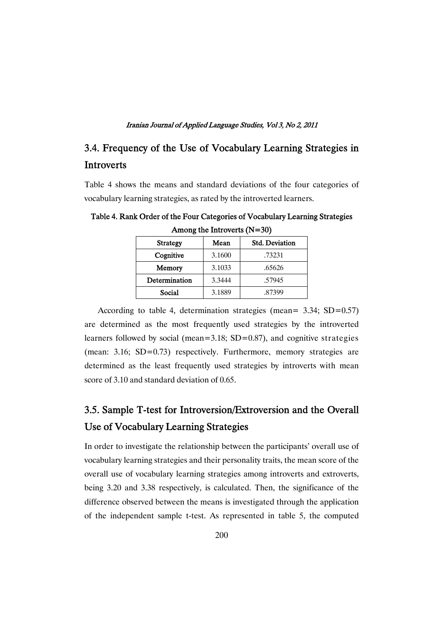## 3.4. Frequency of the Use of Vocabulary Learning Strategies in **Introverts**

Table 4 shows the means and standard deviations of the four categories of vocabulary learning strategies, as rated by the introverted learners.

| <b>Strategy</b> | Mean   | <b>Std. Deviation</b> |
|-----------------|--------|-----------------------|
| Cognitive       | 3.1600 | .73231                |
| Memory          | 3.1033 | .65626                |
| Determination   | 3.3444 | .57945                |
| Social          | 3.1889 | .87399                |

Table 4. Rank Order of the Four Categories of Vocabulary Learning Strategies Among the Introverts (N=30)

According to table 4, determination strategies (mean= 3.34; SD=0.57) are determined as the most frequently used strategies by the introverted learners followed by social (mean= $3.18$ ; SD= $0.87$ ), and cognitive strategies (mean: 3.16; SD=0.73) respectively. Furthermore, memory strategies are determined as the least frequently used strategies by introverts with mean score of 3.10 and standard deviation of 0.65.

# 3.5. Sample T-test for Introversion/Extroversion and the Overall Use of Vocabulary Learning Strategies

In order to investigate the relationship between the participants' overall use of vocabulary learning strategies and their personality traits, the mean score of the overall use of vocabulary learning strategies among introverts and extroverts, being 3.20 and 3.38 respectively, is calculated. Then, the significance of the difference observed between the means is investigated through the application of the independent sample t-test. As represented in table 5, the computed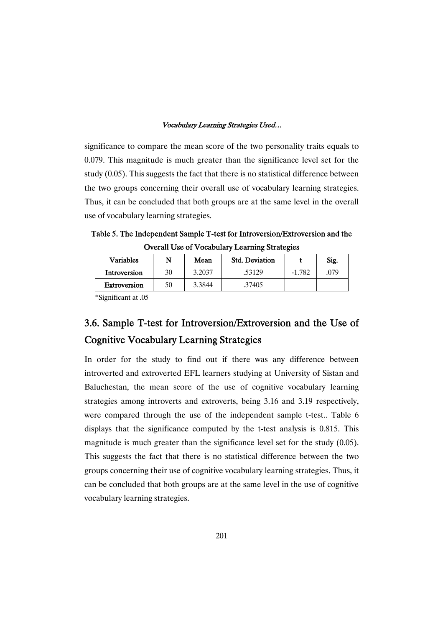significance to compare the mean score of the two personality traits equals to 0.079. This magnitude is much greater than the significance level set for the study (0.05). This suggests the fact that there is no statistical difference between the two groups concerning their overall use of vocabulary learning strategies. Thus, it can be concluded that both groups are at the same level in the overall use of vocabulary learning strategies.

Table 5. The Independent Sample T-test for Introversion/Extroversion and the Overall Use of Vocabulary Learning Strategies

| <b>Variables</b> | N  | Mean   | <b>Std. Deviation</b> |          | Sig. |
|------------------|----|--------|-----------------------|----------|------|
| Introversion     | 30 | 3.2037 | .53129                | $-1.782$ | .079 |
| Extroversion     | 50 | 3.3844 | .37405                |          |      |

\*Significant at .05

# 3.6. Sample T-test for Introversion/Extroversion and the Use of Cognitive Vocabulary Learning Strategies

In order for the study to find out if there was any difference between introverted and extroverted EFL learners studying at University of Sistan and Baluchestan, the mean score of the use of cognitive vocabulary learning strategies among introverts and extroverts, being 3.16 and 3.19 respectively, were compared through the use of the independent sample t-test.. Table 6 displays that the significance computed by the t-test analysis is 0.815. This magnitude is much greater than the significance level set for the study (0.05). This suggests the fact that there is no statistical difference between the two groups concerning their use of cognitive vocabulary learning strategies. Thus, it can be concluded that both groups are at the same level in the use of cognitive vocabulary learning strategies.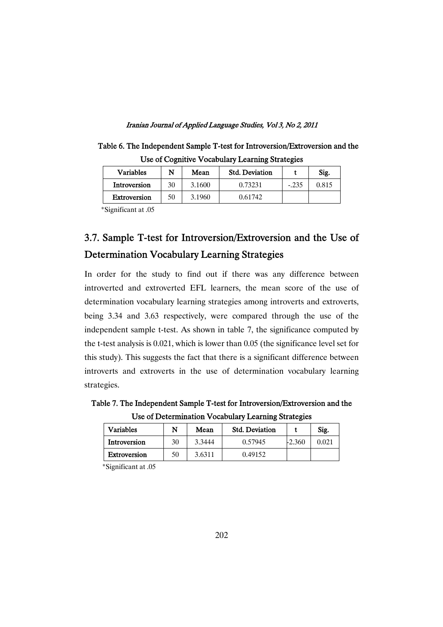| Use of Cognitive Vocabulary Learning Strategies |    |        |                       |         |       |
|-------------------------------------------------|----|--------|-----------------------|---------|-------|
| <b>Variables</b>                                | N  | Mean   | <b>Std. Deviation</b> |         | Sig.  |
| Introversion                                    | 30 | 3.1600 | 0.73231               | $-.235$ | 0.815 |
| <b>Extroversion</b>                             | 50 | 3.1960 | 0.61742               |         |       |

Table 6. The Independent Sample T-test for Introversion/Extroversion and the

\*Significant at .05

# 3.7. Sample T-test for Introversion/Extroversion and the Use of Determination Vocabulary Learning Strategies

In order for the study to find out if there was any difference between introverted and extroverted EFL learners, the mean score of the use of determination vocabulary learning strategies among introverts and extroverts, being 3.34 and 3.63 respectively, were compared through the use of the independent sample t-test. As shown in table 7, the significance computed by the t-test analysis is 0.021, which is lower than 0.05 (the significance level set for this study). This suggests the fact that there is a significant difference between introverts and extroverts in the use of determination vocabulary learning strategies.

Table 7. The Independent Sample T-test for Introversion/Extroversion and the Use of Determination Vocabulary Learning Strategies

| <b>Variables</b>    | N  | Mean   | <b>Std. Deviation</b> |          | Sig.  |
|---------------------|----|--------|-----------------------|----------|-------|
| Introversion        | 30 | 3.3444 | 0.57945               | $-2.360$ | 0.021 |
| <b>Extroversion</b> | 50 | 3.6311 | 0.49152               |          |       |

\*Significant at .05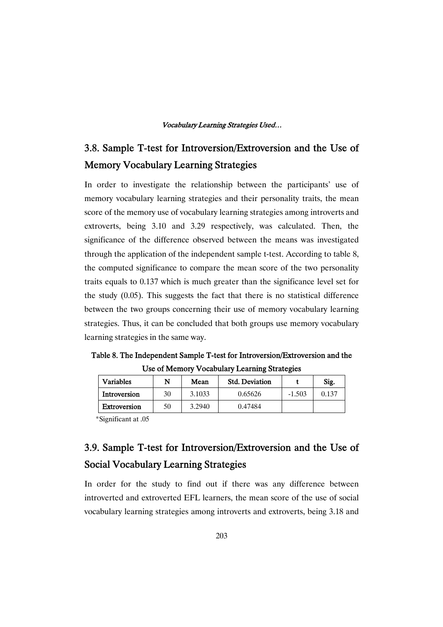# 3.8. Sample T-test for Introversion/Extroversion and the Use of Memory Vocabulary Learning Strategies

In order to investigate the relationship between the participants' use of memory vocabulary learning strategies and their personality traits, the mean score of the memory use of vocabulary learning strategies among introverts and extroverts, being 3.10 and 3.29 respectively, was calculated. Then, the significance of the difference observed between the means was investigated through the application of the independent sample t-test. According to table 8, the computed significance to compare the mean score of the two personality traits equals to 0.137 which is much greater than the significance level set for the study (0.05). This suggests the fact that there is no statistical difference between the two groups concerning their use of memory vocabulary learning strategies. Thus, it can be concluded that both groups use memory vocabulary learning strategies in the same way.

Table 8. The Independent Sample T-test for Introversion/Extroversion and the Use of Memory Vocabulary Learning Strategies

| <b>Variables</b> |    | Mean   | <b>Std. Deviation</b> |          | Sig.  |
|------------------|----|--------|-----------------------|----------|-------|
| Introversion     | 30 | 3.1033 | 0.65626               | $-1.503$ | 0.137 |
| Extroversion     | 50 | 3.2940 | 0.47484               |          |       |

\*Significant at .05

# 3.9. Sample T-test for Introversion/Extroversion and the Use of Social Vocabulary Learning Strategies

In order for the study to find out if there was any difference between introverted and extroverted EFL learners, the mean score of the use of social vocabulary learning strategies among introverts and extroverts, being 3.18 and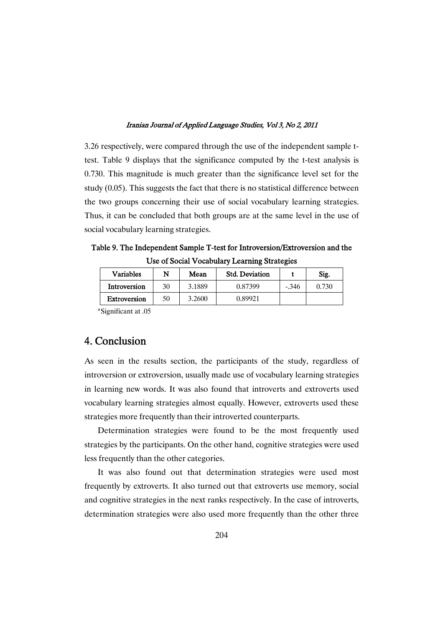3.26 respectively, were compared through the use of the independent sample ttest. Table 9 displays that the significance computed by the t-test analysis is 0.730. This magnitude is much greater than the significance level set for the study (0.05). This suggests the fact that there is no statistical difference between the two groups concerning their use of social vocabulary learning strategies. Thus, it can be concluded that both groups are at the same level in the use of social vocabulary learning strategies.

Table 9. The Independent Sample T-test for Introversion/Extroversion and the Use of Social Vocabulary Learning Strategies

| <b>Variables</b> | N  | Mean   | <b>Std. Deviation</b> |         | Sig.  |
|------------------|----|--------|-----------------------|---------|-------|
| Introversion     | 30 | 3.1889 | 0.87399               | $-.346$ | 0.730 |
| Extroversion     | 50 | 3.2600 | 0.89921               |         |       |

\*Significant at .05

## 4. Conclusion

As seen in the results section, the participants of the study, regardless of introversion or extroversion, usually made use of vocabulary learning strategies in learning new words. It was also found that introverts and extroverts used vocabulary learning strategies almost equally. However, extroverts used these strategies more frequently than their introverted counterparts.

Determination strategies were found to be the most frequently used strategies by the participants. On the other hand, cognitive strategies were used less frequently than the other categories.

It was also found out that determination strategies were used most frequently by extroverts. It also turned out that extroverts use memory, social and cognitive strategies in the next ranks respectively. In the case of introverts, determination strategies were also used more frequently than the other three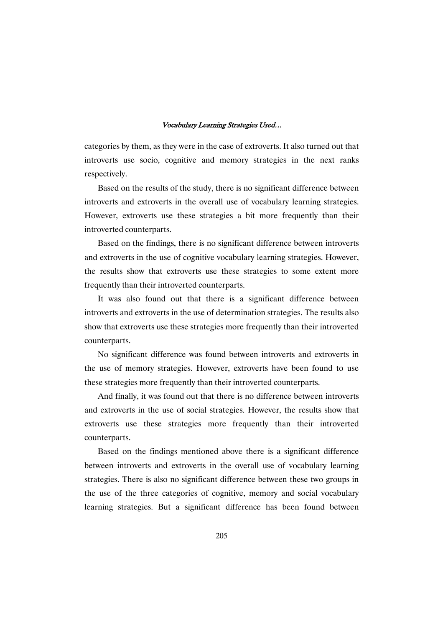categories by them, as they were in the case of extroverts. It also turned out that introverts use socio, cognitive and memory strategies in the next ranks respectively.

Based on the results of the study, there is no significant difference between introverts and extroverts in the overall use of vocabulary learning strategies. However, extroverts use these strategies a bit more frequently than their introverted counterparts.

Based on the findings, there is no significant difference between introverts and extroverts in the use of cognitive vocabulary learning strategies. However, the results show that extroverts use these strategies to some extent more frequently than their introverted counterparts.

It was also found out that there is a significant difference between introverts and extroverts in the use of determination strategies. The results also show that extroverts use these strategies more frequently than their introverted counterparts.

No significant difference was found between introverts and extroverts in the use of memory strategies. However, extroverts have been found to use these strategies more frequently than their introverted counterparts.

And finally, it was found out that there is no difference between introverts and extroverts in the use of social strategies. However, the results show that extroverts use these strategies more frequently than their introverted counterparts.

Based on the findings mentioned above there is a significant difference between introverts and extroverts in the overall use of vocabulary learning strategies. There is also no significant difference between these two groups in the use of the three categories of cognitive, memory and social vocabulary learning strategies. But a significant difference has been found between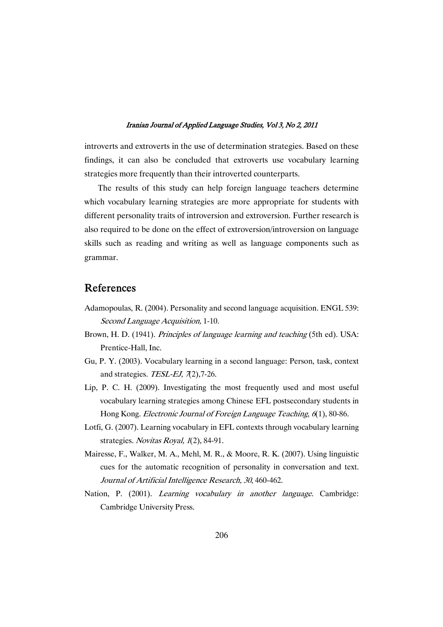introverts and extroverts in the use of determination strategies. Based on these findings, it can also be concluded that extroverts use vocabulary learning strategies more frequently than their introverted counterparts.

The results of this study can help foreign language teachers determine which vocabulary learning strategies are more appropriate for students with different personality traits of introversion and extroversion. Further research is also required to be done on the effect of extroversion/introversion on language skills such as reading and writing as well as language components such as grammar.

## References

- Adamopoulas, R. (2004). Personality and second language acquisition. ENGL 539: Second Language Acquisition, 1-10.
- Brown, H. D. (1941). *Principles of language learning and teaching* (5th ed). USA: Prentice-Hall, Inc.
- Gu, P. Y. (2003). Vocabulary learning in a second language: Person, task, context and strategies. TESL-EJ,  $\mathcal{I}(2)$ , 7-26.
- Lip, P. C. H. (2009). Investigating the most frequently used and most useful vocabulary learning strategies among Chinese EFL postsecondary students in Hong Kong. Electronic Journal of Foreign Language Teaching, <sup>6</sup>(1), 80-86.
- Lotfi, G. (2007). Learning vocabulary in EFL contexts through vocabulary learning strategies. Novitas Royal, 1(2), 84-91.
- Mairesse, F., Walker, M. A., Mehl, M. R., & Moore, R. K. (2007). Using linguistic cues for the automatic recognition of personality in conversation and text. Journal of Artificial Intelligence Research, <sup>30</sup>, 460-462.
- Nation, P. (2001). *Learning vocabulary in another language*. Cambridge: Cambridge University Press.